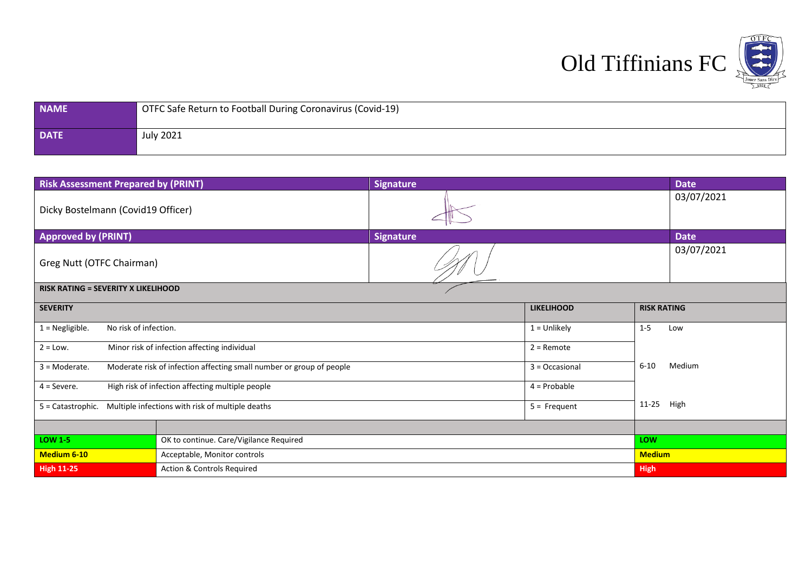

| <b>NAME</b> | OTFC Safe Return to Football During Coronavirus (Covid-19) |
|-------------|------------------------------------------------------------|
| <b>DATE</b> | July 2021                                                  |

| <b>Risk Assessment Prepared by (PRINT)</b> |                                                                      | <b>Signature</b> |                   |                    | <b>Date</b> |
|--------------------------------------------|----------------------------------------------------------------------|------------------|-------------------|--------------------|-------------|
| Dicky Bostelmann (Covid19 Officer)         |                                                                      |                  |                   |                    | 03/07/2021  |
| <b>Approved by (PRINT)</b>                 |                                                                      | <b>Signature</b> |                   |                    | <b>Date</b> |
| Greg Nutt (OTFC Chairman)                  |                                                                      |                  |                   |                    | 03/07/2021  |
| <b>RISK RATING = SEVERITY X LIKELIHOOD</b> |                                                                      |                  |                   |                    |             |
| <b>SEVERITY</b>                            |                                                                      |                  | <b>LIKELIHOOD</b> | <b>RISK RATING</b> |             |
| $1 = Negligible.$<br>No risk of infection. |                                                                      |                  | $1 =$ Unlikely    | $1 - 5$            | Low         |
| $2 = Low.$                                 | Minor risk of infection affecting individual                         |                  | $2 =$ Remote      |                    |             |
| $3 =$ Moderate.                            | Moderate risk of infection affecting small number or group of people |                  | 3 = Occasional    | $6 - 10$           | Medium      |
| $4 =$ Severe.                              | High risk of infection affecting multiple people                     |                  | $4 =$ Probable    |                    |             |
| 5 = Catastrophic.                          | Multiple infections with risk of multiple deaths                     |                  | $5 =$ Frequent    | $11 - 25$          | High        |
|                                            |                                                                      |                  |                   |                    |             |
| <b>LOW 1-5</b>                             | OK to continue. Care/Vigilance Required                              |                  |                   | LOW                |             |
| <b>Medium 6-10</b>                         | Acceptable, Monitor controls                                         |                  |                   | <b>Medium</b>      |             |
| <b>High 11-25</b>                          | <b>Action &amp; Controls Required</b>                                |                  |                   | <b>High</b>        |             |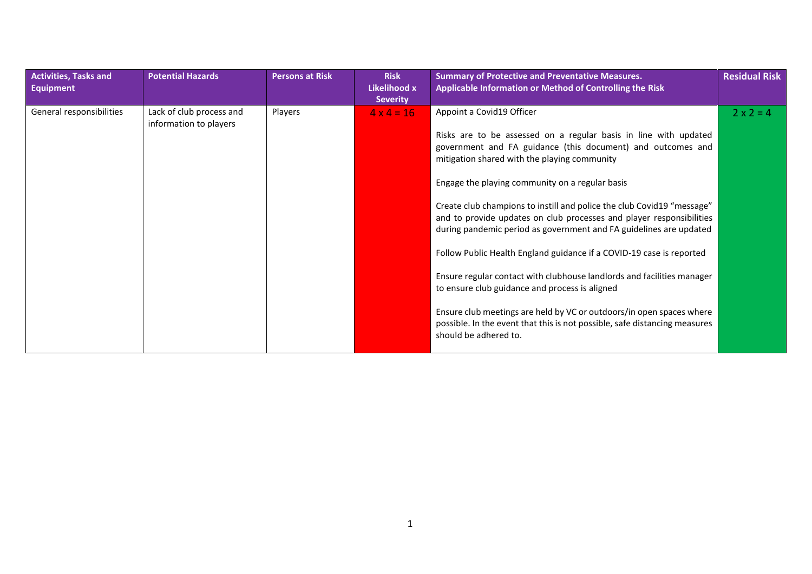| <b>Activities, Tasks and</b><br><b>Equipment</b> | <b>Potential Hazards</b>                           | <b>Persons at Risk</b> | <b>Risk</b><br>Likelihood x<br><b>Severity</b> | <b>Summary of Protective and Preventative Measures.</b><br>Applicable Information or Method of Controlling the Risk                                                                                                                                                                                                                                                                                                                                                                                                                                                                                                                                                                                                                                                 | <b>Residual Risk</b> |
|--------------------------------------------------|----------------------------------------------------|------------------------|------------------------------------------------|---------------------------------------------------------------------------------------------------------------------------------------------------------------------------------------------------------------------------------------------------------------------------------------------------------------------------------------------------------------------------------------------------------------------------------------------------------------------------------------------------------------------------------------------------------------------------------------------------------------------------------------------------------------------------------------------------------------------------------------------------------------------|----------------------|
| General responsibilities                         | Lack of club process and<br>information to players | Players                | $4 \times 4 = 16$                              | Appoint a Covid19 Officer<br>Risks are to be assessed on a regular basis in line with updated<br>government and FA guidance (this document) and outcomes and<br>mitigation shared with the playing community<br>Engage the playing community on a regular basis<br>Create club champions to instill and police the club Covid19 "message"<br>and to provide updates on club processes and player responsibilities<br>during pandemic period as government and FA guidelines are updated<br>Follow Public Health England guidance if a COVID-19 case is reported<br>Ensure regular contact with clubhouse landlords and facilities manager<br>to ensure club guidance and process is aligned<br>Ensure club meetings are held by VC or outdoors/in open spaces where | $2 \times 2 = 4$     |
|                                                  |                                                    |                        |                                                | possible. In the event that this is not possible, safe distancing measures<br>should be adhered to.                                                                                                                                                                                                                                                                                                                                                                                                                                                                                                                                                                                                                                                                 |                      |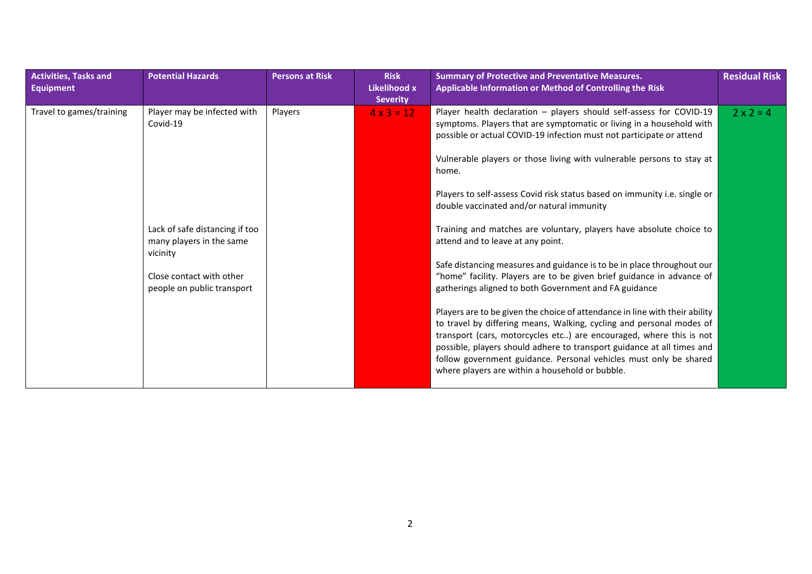| <b>Activities, Tasks and</b><br><b>Equipment</b> | <b>Potential Hazards</b>                                                                                                         | <b>Persons at Risk</b> | <b>Risk</b><br>Likelihood x<br><b>Severity</b> | <b>Summary of Protective and Preventative Measures.</b><br>Applicable Information or Method of Controlling the Risk                                                                                                                                                                                                                                                                                                                                                                                                                                                                                                                                                                                                                                  | <b>Residual Risk</b> |
|--------------------------------------------------|----------------------------------------------------------------------------------------------------------------------------------|------------------------|------------------------------------------------|------------------------------------------------------------------------------------------------------------------------------------------------------------------------------------------------------------------------------------------------------------------------------------------------------------------------------------------------------------------------------------------------------------------------------------------------------------------------------------------------------------------------------------------------------------------------------------------------------------------------------------------------------------------------------------------------------------------------------------------------------|----------------------|
| Travel to games/training                         | Player may be infected with<br>Covid-19                                                                                          | Players                | $4 \times 3 = 12$                              | Player health declaration - players should self-assess for COVID-19<br>symptoms. Players that are symptomatic or living in a household with<br>possible or actual COVID-19 infection must not participate or attend<br>Vulnerable players or those living with vulnerable persons to stay at<br>home.<br>Players to self-assess Covid risk status based on immunity i.e. single or<br>double vaccinated and/or natural immunity                                                                                                                                                                                                                                                                                                                      | $2 \times 2 = 4$     |
|                                                  | Lack of safe distancing if too<br>many players in the same<br>vicinity<br>Close contact with other<br>people on public transport |                        |                                                | Training and matches are voluntary, players have absolute choice to<br>attend and to leave at any point.<br>Safe distancing measures and guidance is to be in place throughout our<br>"home" facility. Players are to be given brief guidance in advance of<br>gatherings aligned to both Government and FA guidance<br>Players are to be given the choice of attendance in line with their ability<br>to travel by differing means, Walking, cycling and personal modes of<br>transport (cars, motorcycles etc) are encouraged, where this is not<br>possible, players should adhere to transport guidance at all times and<br>follow government guidance. Personal vehicles must only be shared<br>where players are within a household or bubble. |                      |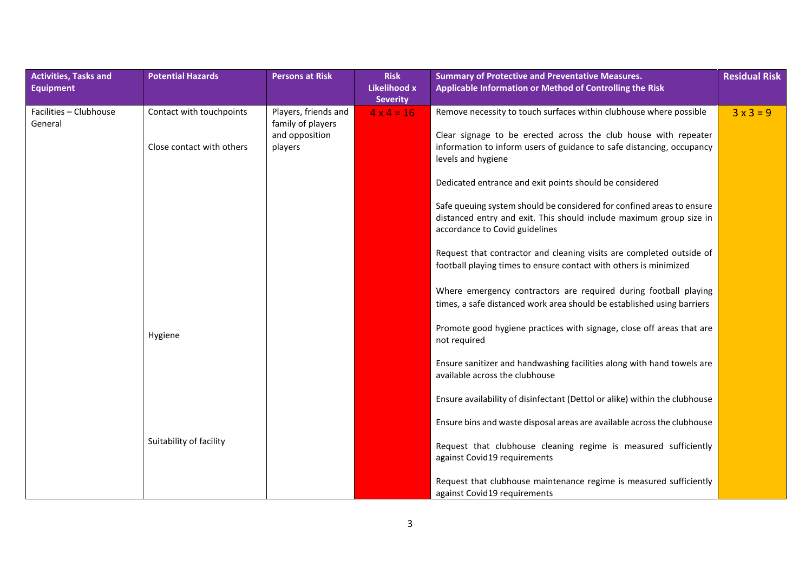| <b>Activities, Tasks and</b>      | <b>Potential Hazards</b>  | <b>Persons at Risk</b>                    | <b>Risk</b>                            | <b>Summary of Protective and Preventative Measures.</b>                                                                                                                        | <b>Residual Risk</b> |
|-----------------------------------|---------------------------|-------------------------------------------|----------------------------------------|--------------------------------------------------------------------------------------------------------------------------------------------------------------------------------|----------------------|
| <b>Equipment</b>                  |                           |                                           | <b>Likelihood x</b><br><b>Severity</b> | Applicable Information or Method of Controlling the Risk                                                                                                                       |                      |
| Facilities - Clubhouse<br>General | Contact with touchpoints  | Players, friends and<br>family of players | $4 \times 4 = 16$                      | Remove necessity to touch surfaces within clubhouse where possible                                                                                                             | $3 \times 3 = 9$     |
|                                   | Close contact with others | and opposition<br>players                 |                                        | Clear signage to be erected across the club house with repeater<br>information to inform users of guidance to safe distancing, occupancy<br>levels and hygiene                 |                      |
|                                   |                           |                                           |                                        | Dedicated entrance and exit points should be considered                                                                                                                        |                      |
|                                   |                           |                                           |                                        | Safe queuing system should be considered for confined areas to ensure<br>distanced entry and exit. This should include maximum group size in<br>accordance to Covid guidelines |                      |
|                                   |                           |                                           |                                        | Request that contractor and cleaning visits are completed outside of<br>football playing times to ensure contact with others is minimized                                      |                      |
|                                   |                           |                                           |                                        | Where emergency contractors are required during football playing<br>times, a safe distanced work area should be established using barriers                                     |                      |
|                                   | Hygiene                   |                                           |                                        | Promote good hygiene practices with signage, close off areas that are<br>not required                                                                                          |                      |
|                                   |                           |                                           |                                        | Ensure sanitizer and handwashing facilities along with hand towels are<br>available across the clubhouse                                                                       |                      |
|                                   |                           |                                           |                                        | Ensure availability of disinfectant (Dettol or alike) within the clubhouse                                                                                                     |                      |
|                                   |                           |                                           |                                        | Ensure bins and waste disposal areas are available across the clubhouse                                                                                                        |                      |
|                                   | Suitability of facility   |                                           |                                        | Request that clubhouse cleaning regime is measured sufficiently<br>against Covid19 requirements                                                                                |                      |
|                                   |                           |                                           |                                        | Request that clubhouse maintenance regime is measured sufficiently<br>against Covid19 requirements                                                                             |                      |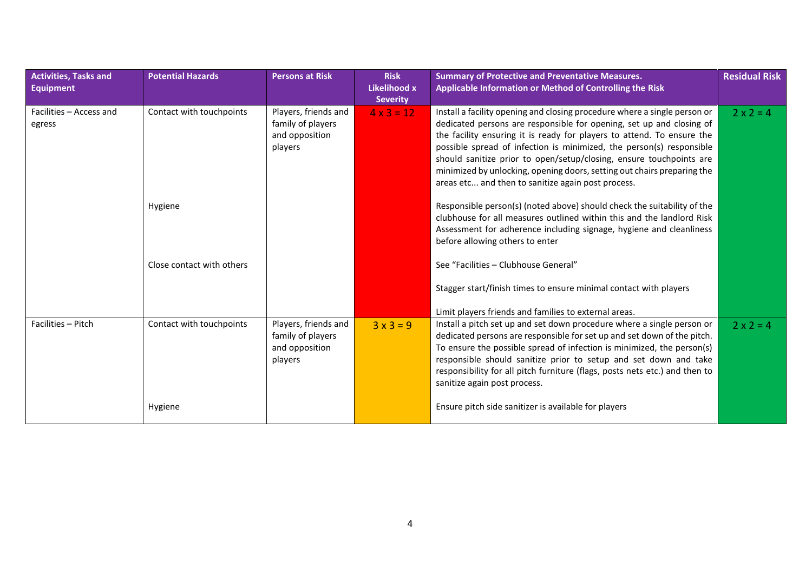| <b>Activities, Tasks and</b><br><b>Equipment</b> | <b>Potential Hazards</b>  | <b>Persons at Risk</b>                                                 | <b>Risk</b><br>Likelihood x<br><b>Severity</b> | <b>Summary of Protective and Preventative Measures.</b><br>Applicable Information or Method of Controlling the Risk                                                                                                                                                                                                                                                                                                                                                                                         | <b>Residual Risk</b> |
|--------------------------------------------------|---------------------------|------------------------------------------------------------------------|------------------------------------------------|-------------------------------------------------------------------------------------------------------------------------------------------------------------------------------------------------------------------------------------------------------------------------------------------------------------------------------------------------------------------------------------------------------------------------------------------------------------------------------------------------------------|----------------------|
| Facilities - Access and<br>egress                | Contact with touchpoints  | Players, friends and<br>family of players<br>and opposition<br>players | $4 \times 3 = 12$                              | Install a facility opening and closing procedure where a single person or<br>dedicated persons are responsible for opening, set up and closing of<br>the facility ensuring it is ready for players to attend. To ensure the<br>possible spread of infection is minimized, the person(s) responsible<br>should sanitize prior to open/setup/closing, ensure touchpoints are<br>minimized by unlocking, opening doors, setting out chairs preparing the<br>areas etc and then to sanitize again post process. | $2 \times 2 = 4$     |
|                                                  | Hygiene                   |                                                                        |                                                | Responsible person(s) (noted above) should check the suitability of the<br>clubhouse for all measures outlined within this and the landlord Risk<br>Assessment for adherence including signage, hygiene and cleanliness<br>before allowing others to enter                                                                                                                                                                                                                                                  |                      |
|                                                  | Close contact with others |                                                                        |                                                | See "Facilities - Clubhouse General"                                                                                                                                                                                                                                                                                                                                                                                                                                                                        |                      |
|                                                  |                           |                                                                        |                                                | Stagger start/finish times to ensure minimal contact with players                                                                                                                                                                                                                                                                                                                                                                                                                                           |                      |
|                                                  |                           |                                                                        |                                                | Limit players friends and families to external areas.                                                                                                                                                                                                                                                                                                                                                                                                                                                       |                      |
| Facilities - Pitch                               | Contact with touchpoints  | Players, friends and<br>family of players<br>and opposition<br>players | $3x3=9$                                        | Install a pitch set up and set down procedure where a single person or<br>dedicated persons are responsible for set up and set down of the pitch.<br>To ensure the possible spread of infection is minimized, the person(s)<br>responsible should sanitize prior to setup and set down and take<br>responsibility for all pitch furniture (flags, posts nets etc.) and then to<br>sanitize again post process.                                                                                              | $2 \times 2 = 4$     |
|                                                  | Hygiene                   |                                                                        |                                                | Ensure pitch side sanitizer is available for players                                                                                                                                                                                                                                                                                                                                                                                                                                                        |                      |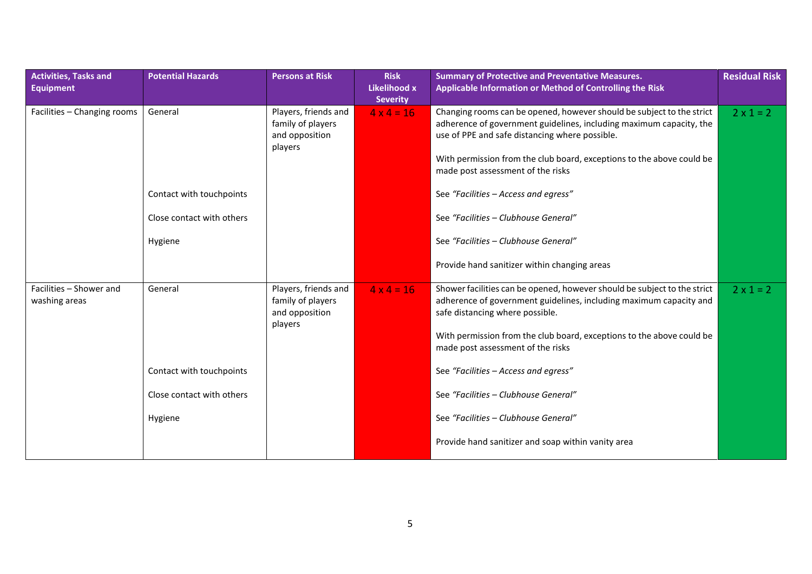| <b>Activities, Tasks and</b><br><b>Equipment</b> | <b>Potential Hazards</b>  | <b>Persons at Risk</b>                                                 | <b>Risk</b><br>Likelihood x<br><b>Severity</b> | <b>Summary of Protective and Preventative Measures.</b><br>Applicable Information or Method of Controlling the Risk                                                                                                                                                                                          | <b>Residual Risk</b> |
|--------------------------------------------------|---------------------------|------------------------------------------------------------------------|------------------------------------------------|--------------------------------------------------------------------------------------------------------------------------------------------------------------------------------------------------------------------------------------------------------------------------------------------------------------|----------------------|
| Facilities - Changing rooms                      | General                   | Players, friends and<br>family of players<br>and opposition<br>players | $4 \times 4 = 16$                              | Changing rooms can be opened, however should be subject to the strict<br>adherence of government guidelines, including maximum capacity, the<br>use of PPE and safe distancing where possible.<br>With permission from the club board, exceptions to the above could be<br>made post assessment of the risks | $2 \times 1 = 2$     |
|                                                  | Contact with touchpoints  |                                                                        |                                                | See "Facilities - Access and egress"                                                                                                                                                                                                                                                                         |                      |
|                                                  | Close contact with others |                                                                        |                                                | See "Facilities - Clubhouse General"                                                                                                                                                                                                                                                                         |                      |
|                                                  | Hygiene                   |                                                                        |                                                | See "Facilities - Clubhouse General"                                                                                                                                                                                                                                                                         |                      |
|                                                  |                           |                                                                        |                                                | Provide hand sanitizer within changing areas                                                                                                                                                                                                                                                                 |                      |
| Facilities - Shower and<br>washing areas         | General                   | Players, friends and<br>family of players<br>and opposition<br>players | $4 \times 4 = 16$                              | Shower facilities can be opened, however should be subject to the strict<br>adherence of government guidelines, including maximum capacity and<br>safe distancing where possible.                                                                                                                            | $2 \times 1 = 2$     |
|                                                  |                           |                                                                        |                                                | With permission from the club board, exceptions to the above could be<br>made post assessment of the risks                                                                                                                                                                                                   |                      |
|                                                  | Contact with touchpoints  |                                                                        |                                                | See "Facilities - Access and egress"                                                                                                                                                                                                                                                                         |                      |
|                                                  | Close contact with others |                                                                        |                                                | See "Facilities - Clubhouse General"                                                                                                                                                                                                                                                                         |                      |
|                                                  | Hygiene                   |                                                                        |                                                | See "Facilities - Clubhouse General"                                                                                                                                                                                                                                                                         |                      |
|                                                  |                           |                                                                        |                                                | Provide hand sanitizer and soap within vanity area                                                                                                                                                                                                                                                           |                      |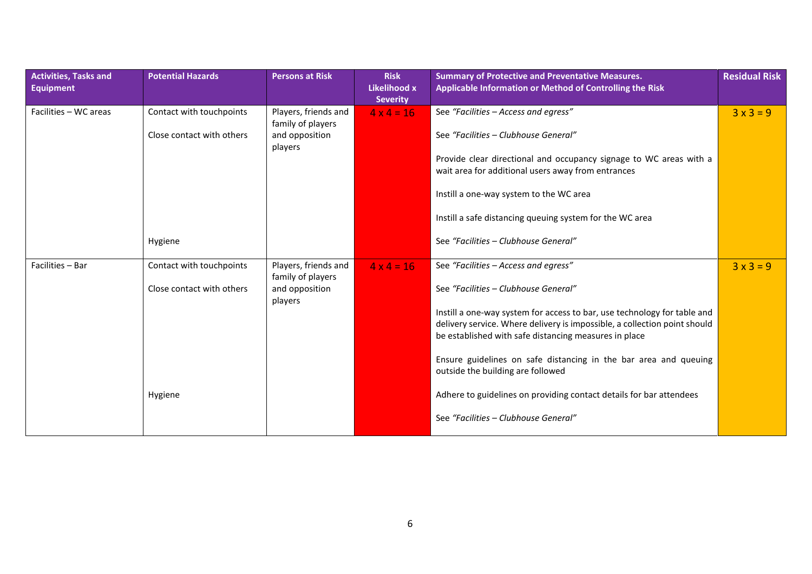| <b>Activities, Tasks and</b><br><b>Equipment</b> | <b>Potential Hazards</b>  | <b>Persons at Risk</b>                         | <b>Risk</b><br>Likelihood x<br><b>Severity</b> | <b>Summary of Protective and Preventative Measures.</b><br>Applicable Information or Method of Controlling the Risk                                                                                            | <b>Residual Risk</b> |
|--------------------------------------------------|---------------------------|------------------------------------------------|------------------------------------------------|----------------------------------------------------------------------------------------------------------------------------------------------------------------------------------------------------------------|----------------------|
| Facilities - WC areas                            | Contact with touchpoints  | Players, friends and<br>family of players      | $4 \times 4 = 16$                              | See "Facilities - Access and egress"                                                                                                                                                                           | $3x3=9$              |
|                                                  | Close contact with others | and opposition<br>players                      |                                                | See "Facilities - Clubhouse General"                                                                                                                                                                           |                      |
|                                                  |                           |                                                |                                                | Provide clear directional and occupancy signage to WC areas with a<br>wait area for additional users away from entrances                                                                                       |                      |
|                                                  |                           |                                                |                                                | Instill a one-way system to the WC area                                                                                                                                                                        |                      |
|                                                  |                           |                                                |                                                | Instill a safe distancing queuing system for the WC area                                                                                                                                                       |                      |
|                                                  | Hygiene                   |                                                |                                                | See "Facilities - Clubhouse General"                                                                                                                                                                           |                      |
| Facilities - Bar                                 | Contact with touchpoints  | Players, friends and                           | $4 \times 4 = 16$                              | See "Facilities - Access and egress"                                                                                                                                                                           | $3x3=9$              |
|                                                  | Close contact with others | family of players<br>and opposition<br>players |                                                | See "Facilities - Clubhouse General"                                                                                                                                                                           |                      |
|                                                  |                           |                                                |                                                | Instill a one-way system for access to bar, use technology for table and<br>delivery service. Where delivery is impossible, a collection point should<br>be established with safe distancing measures in place |                      |
|                                                  |                           |                                                |                                                | Ensure guidelines on safe distancing in the bar area and queuing<br>outside the building are followed                                                                                                          |                      |
|                                                  | Hygiene                   |                                                |                                                | Adhere to guidelines on providing contact details for bar attendees                                                                                                                                            |                      |
|                                                  |                           |                                                |                                                | See "Facilities - Clubhouse General"                                                                                                                                                                           |                      |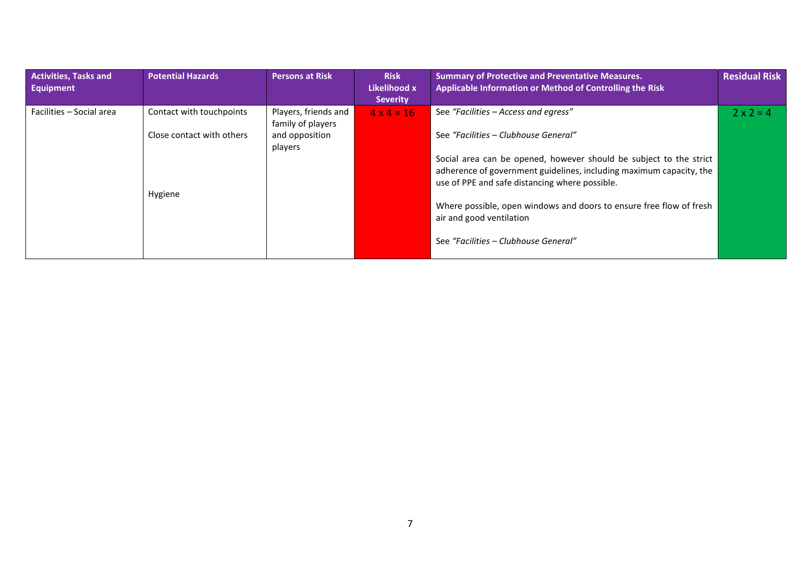| <b>Activities, Tasks and</b><br>Equipment | <b>Potential Hazards</b>  | <b>Persons at Risk</b>                    | <b>Risk</b><br>Likelihood x<br><b>Severity</b> | <b>Summary of Protective and Preventative Measures.</b><br>Applicable Information or Method of Controlling the Risk                                                                         | <b>Residual Risk</b> |
|-------------------------------------------|---------------------------|-------------------------------------------|------------------------------------------------|---------------------------------------------------------------------------------------------------------------------------------------------------------------------------------------------|----------------------|
| Facilities - Social area                  | Contact with touchpoints  | Players, friends and<br>family of players | $4 \times 4 = 16$                              | See "Facilities - Access and egress"                                                                                                                                                        | $2 \times 2 = 4$     |
|                                           | Close contact with others | and opposition<br>players                 |                                                | See "Facilities - Clubhouse General"                                                                                                                                                        |                      |
|                                           | Hygiene                   |                                           |                                                | Social area can be opened, however should be subject to the strict<br>adherence of government guidelines, including maximum capacity, the<br>use of PPE and safe distancing where possible. |                      |
|                                           |                           |                                           |                                                | Where possible, open windows and doors to ensure free flow of fresh<br>air and good ventilation                                                                                             |                      |
|                                           |                           |                                           |                                                | See "Facilities - Clubhouse General"                                                                                                                                                        |                      |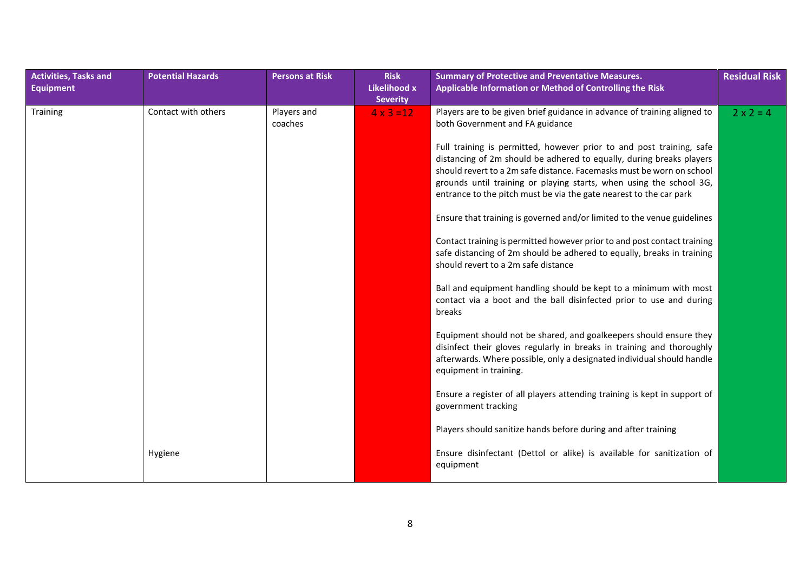| <b>Activities, Tasks and</b> | <b>Potential Hazards</b> | <b>Persons at Risk</b> | <b>Risk</b>                     | <b>Summary of Protective and Preventative Measures.</b>                                                                                                                                                                                                                                                                                                                                                                                                                                                                                                                                                                                                                                                                                                                                                                                                                                                                                                                                                                                                                                                                                                            | <b>Residual Risk</b> |
|------------------------------|--------------------------|------------------------|---------------------------------|--------------------------------------------------------------------------------------------------------------------------------------------------------------------------------------------------------------------------------------------------------------------------------------------------------------------------------------------------------------------------------------------------------------------------------------------------------------------------------------------------------------------------------------------------------------------------------------------------------------------------------------------------------------------------------------------------------------------------------------------------------------------------------------------------------------------------------------------------------------------------------------------------------------------------------------------------------------------------------------------------------------------------------------------------------------------------------------------------------------------------------------------------------------------|----------------------|
| <b>Equipment</b>             |                          |                        | Likelihood x<br><b>Severity</b> | Applicable Information or Method of Controlling the Risk                                                                                                                                                                                                                                                                                                                                                                                                                                                                                                                                                                                                                                                                                                                                                                                                                                                                                                                                                                                                                                                                                                           |                      |
| <b>Training</b>              | Contact with others      | Players and<br>coaches | $4 \times 3 = 12$               | Players are to be given brief guidance in advance of training aligned to<br>both Government and FA guidance<br>Full training is permitted, however prior to and post training, safe<br>distancing of 2m should be adhered to equally, during breaks players<br>should revert to a 2m safe distance. Facemasks must be worn on school<br>grounds until training or playing starts, when using the school 3G,<br>entrance to the pitch must be via the gate nearest to the car park<br>Ensure that training is governed and/or limited to the venue guidelines<br>Contact training is permitted however prior to and post contact training<br>safe distancing of 2m should be adhered to equally, breaks in training<br>should revert to a 2m safe distance<br>Ball and equipment handling should be kept to a minimum with most<br>contact via a boot and the ball disinfected prior to use and during<br>breaks<br>Equipment should not be shared, and goalkeepers should ensure they<br>disinfect their gloves regularly in breaks in training and thoroughly<br>afterwards. Where possible, only a designated individual should handle<br>equipment in training. | $2 \times 2 = 4$     |
|                              |                          |                        |                                 | Ensure a register of all players attending training is kept in support of<br>government tracking                                                                                                                                                                                                                                                                                                                                                                                                                                                                                                                                                                                                                                                                                                                                                                                                                                                                                                                                                                                                                                                                   |                      |
|                              |                          |                        |                                 | Players should sanitize hands before during and after training                                                                                                                                                                                                                                                                                                                                                                                                                                                                                                                                                                                                                                                                                                                                                                                                                                                                                                                                                                                                                                                                                                     |                      |
|                              | Hygiene                  |                        |                                 | Ensure disinfectant (Dettol or alike) is available for sanitization of<br>equipment                                                                                                                                                                                                                                                                                                                                                                                                                                                                                                                                                                                                                                                                                                                                                                                                                                                                                                                                                                                                                                                                                |                      |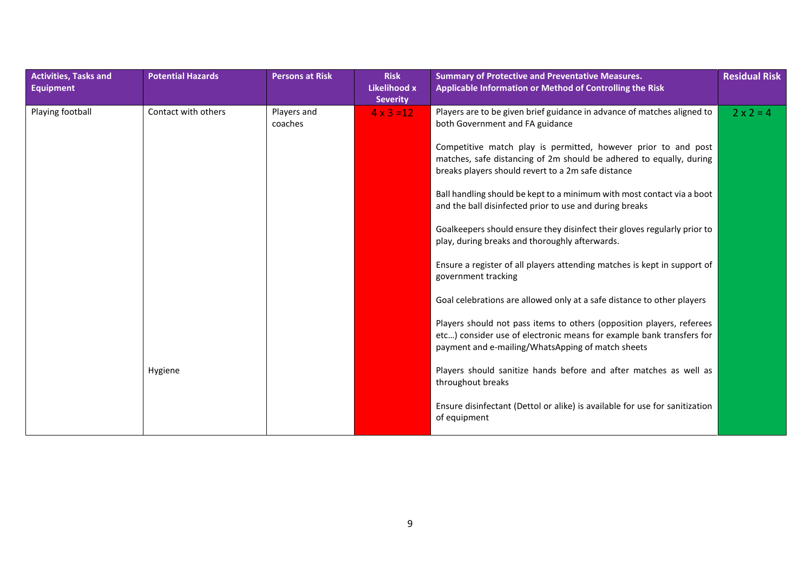| <b>Activities, Tasks and</b><br><b>Equipment</b> | <b>Potential Hazards</b> | <b>Persons at Risk</b> | <b>Risk</b><br>Likelihood x<br><b>Severity</b> | <b>Summary of Protective and Preventative Measures.</b><br>Applicable Information or Method of Controlling the Risk                                                                                | <b>Residual Risk</b> |
|--------------------------------------------------|--------------------------|------------------------|------------------------------------------------|----------------------------------------------------------------------------------------------------------------------------------------------------------------------------------------------------|----------------------|
| Playing football                                 | Contact with others      | Players and<br>coaches | $4 \times 3 = 12$                              | Players are to be given brief guidance in advance of matches aligned to<br>both Government and FA guidance                                                                                         | $2 \times 2 = 4$     |
|                                                  |                          |                        |                                                | Competitive match play is permitted, however prior to and post<br>matches, safe distancing of 2m should be adhered to equally, during<br>breaks players should revert to a 2m safe distance        |                      |
|                                                  |                          |                        |                                                | Ball handling should be kept to a minimum with most contact via a boot<br>and the ball disinfected prior to use and during breaks                                                                  |                      |
|                                                  |                          |                        |                                                | Goalkeepers should ensure they disinfect their gloves regularly prior to<br>play, during breaks and thoroughly afterwards.                                                                         |                      |
|                                                  |                          |                        |                                                | Ensure a register of all players attending matches is kept in support of<br>government tracking                                                                                                    |                      |
|                                                  |                          |                        |                                                | Goal celebrations are allowed only at a safe distance to other players                                                                                                                             |                      |
|                                                  |                          |                        |                                                | Players should not pass items to others (opposition players, referees<br>etc) consider use of electronic means for example bank transfers for<br>payment and e-mailing/WhatsApping of match sheets |                      |
|                                                  | Hygiene                  |                        |                                                | Players should sanitize hands before and after matches as well as<br>throughout breaks                                                                                                             |                      |
|                                                  |                          |                        |                                                | Ensure disinfectant (Dettol or alike) is available for use for sanitization<br>of equipment                                                                                                        |                      |